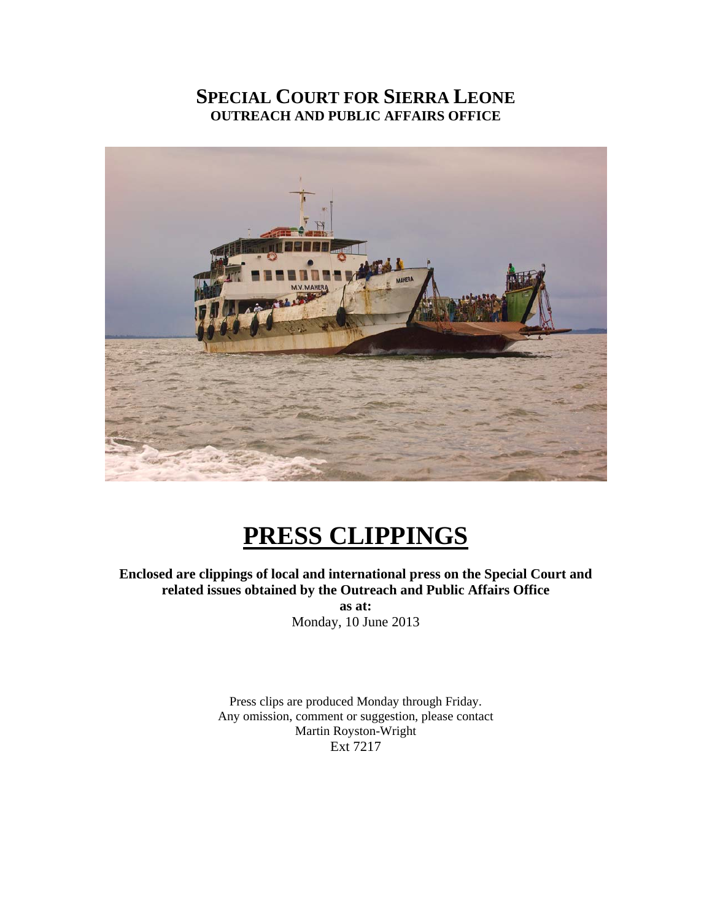# **SPECIAL COURT FOR SIERRA LEONE OUTREACH AND PUBLIC AFFAIRS OFFICE**



# **PRESS CLIPPINGS**

**Enclosed are clippings of local and international press on the Special Court and related issues obtained by the Outreach and Public Affairs Office as at:** 

Monday, 10 June 2013

Press clips are produced Monday through Friday. Any omission, comment or suggestion, please contact Martin Royston-Wright Ext 7217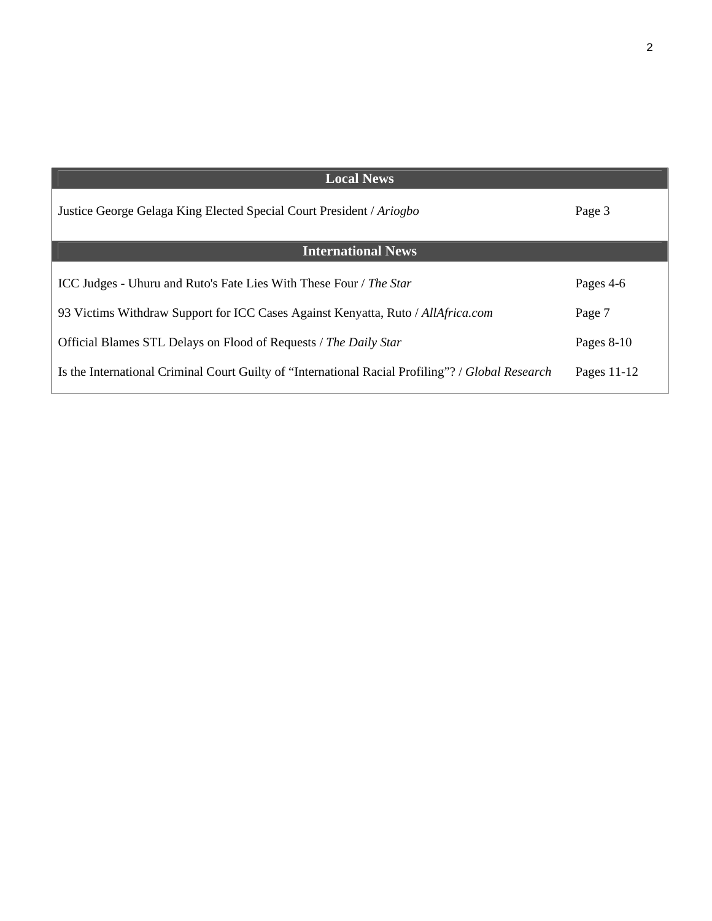| <b>Local News</b>                                                                                 |               |
|---------------------------------------------------------------------------------------------------|---------------|
| Justice George Gelaga King Elected Special Court President / Ariogbo                              | Page 3        |
| <b>International News</b>                                                                         |               |
| ICC Judges - Uhuru and Ruto's Fate Lies With These Four / The Star                                | Pages 4-6     |
| 93 Victims Withdraw Support for ICC Cases Against Kenyatta, Ruto / AllAfrica.com                  | Page 7        |
| Official Blames STL Delays on Flood of Requests / The Daily Star                                  | Pages $8-10$  |
| Is the International Criminal Court Guilty of "International Racial Profiling"? / Global Research | Pages $11-12$ |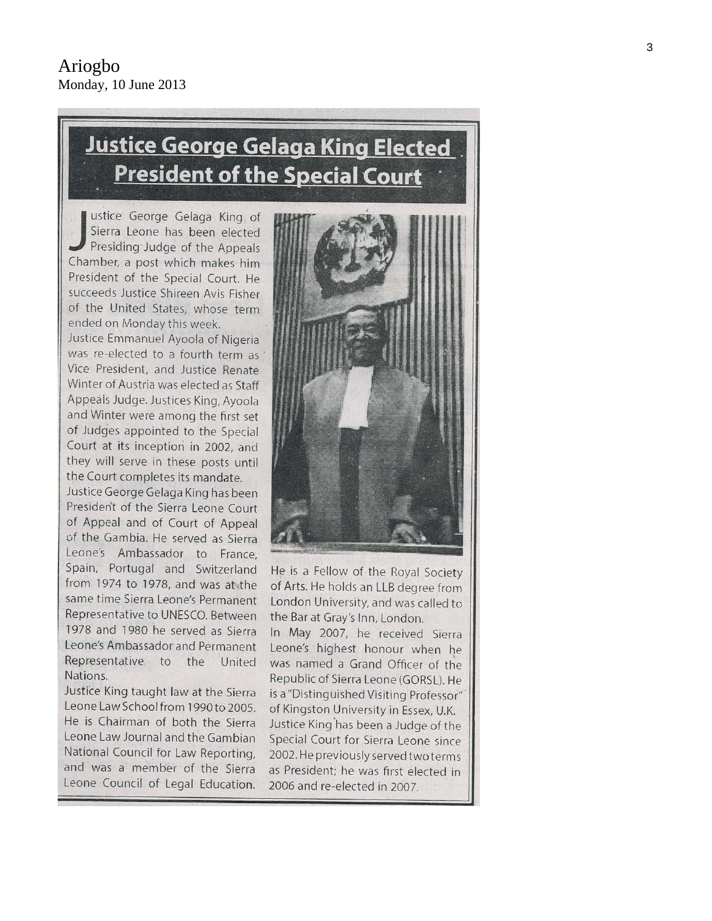# <u>Justice George Gelaga King Elected</u> **President of the Special Court**

ustice George Gelaga King of Sierra Leone has been elected Presiding Judge of the Appeals Chamber, a post which makes him President of the Special Court. He succeeds Justice Shireen Avis Fisher of the United States, whose term ended on Monday this week.

Justice Emmanuel Ayoola of Nigeria was re-elected to a fourth term as Vice President, and Justice Renate Winter of Austria was elected as Staff Appeals Judge. Justices King, Ayoola and Winter were among the first set of Judges appointed to the Special Court at its inception in 2002, and they will serve in these posts until the Court completes its mandate.

Justice George Gelaga King has been President of the Sierra Leone Court of Appeal and of Court of Appeal of the Gambia. He served as Sierra Leone's Ambassador to France, Spain, Portugal and Switzerland from 1974 to 1978, and was at the same time Sierra Leone's Permanent Representative to UNESCO. Between 1978 and 1980 he served as Sierra Leone's Ambassador and Permanent Representative to the United Nations.

Justice King taught law at the Sierra Leone Law School from 1990 to 2005. He is Chairman of both the Sierra Leone Law Journal and the Gambian National Council for Law Reporting, and was a member of the Sierra Leone Council of Legal Education.



He is a Fellow of the Royal Society of Arts. He holds an LLB degree from London University, and was called to the Bar at Gray's Inn, London.

In May 2007, he received Sierra Leone's highest honour when he was named a Grand Officer of the Republic of Sierra Leone (GORSL). He is a "Distinguished Visiting Professor" of Kingston University in Essex, U.K. Justice King has been a Judge of the Special Court for Sierra Leone since 2002. He previously served two terms as President; he was first elected in 2006 and re-elected in 2007.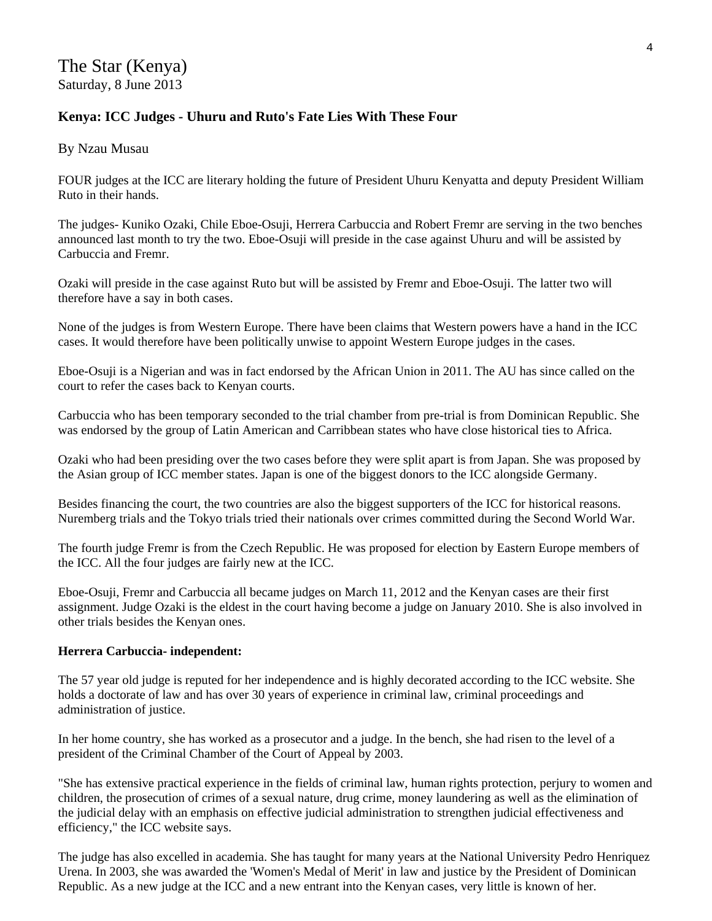### **Kenya: ICC Judges - Uhuru and Ruto's Fate Lies With These Four**

By Nzau Musau

FOUR judges at the ICC are literary holding the future of President Uhuru Kenyatta and deputy President William Ruto in their hands.

The judges- Kuniko Ozaki, Chile Eboe-Osuji, Herrera Carbuccia and Robert Fremr are serving in the two benches announced last month to try the two. Eboe-Osuji will preside in the case against Uhuru and will be assisted by Carbuccia and Fremr.

Ozaki will preside in the case against Ruto but will be assisted by Fremr and Eboe-Osuji. The latter two will therefore have a say in both cases.

None of the judges is from Western Europe. There have been claims that Western powers have a hand in the ICC cases. It would therefore have been politically unwise to appoint Western Europe judges in the cases.

Eboe-Osuji is a Nigerian and was in fact endorsed by the African Union in 2011. The AU has since called on the court to refer the cases back to Kenyan courts.

Carbuccia who has been temporary seconded to the trial chamber from pre-trial is from Dominican Republic. She was endorsed by the group of Latin American and Carribbean states who have close historical ties to Africa.

Ozaki who had been presiding over the two cases before they were split apart is from Japan. She was proposed by the Asian group of ICC member states. Japan is one of the biggest donors to the ICC alongside Germany.

Besides financing the court, the two countries are also the biggest supporters of the ICC for historical reasons. Nuremberg trials and the Tokyo trials tried their nationals over crimes committed during the Second World War.

The fourth judge Fremr is from the Czech Republic. He was proposed for election by Eastern Europe members of the ICC. All the four judges are fairly new at the ICC.

Eboe-Osuji, Fremr and Carbuccia all became judges on March 11, 2012 and the Kenyan cases are their first assignment. Judge Ozaki is the eldest in the court having become a judge on January 2010. She is also involved in other trials besides the Kenyan ones.

#### **Herrera Carbuccia- independent:**

The 57 year old judge is reputed for her independence and is highly decorated according to the ICC website. She holds a doctorate of law and has over 30 years of experience in criminal law, criminal proceedings and administration of justice.

In her home country, she has worked as a prosecutor and a judge. In the bench, she had risen to the level of a president of the Criminal Chamber of the Court of Appeal by 2003.

"She has extensive practical experience in the fields of criminal law, human rights protection, perjury to women and children, the prosecution of crimes of a sexual nature, drug crime, money laundering as well as the elimination of the judicial delay with an emphasis on effective judicial administration to strengthen judicial effectiveness and efficiency," the ICC website says.

The judge has also excelled in academia. She has taught for many years at the National University Pedro Henriquez Urena. In 2003, she was awarded the 'Women's Medal of Merit' in law and justice by the President of Dominican Republic. As a new judge at the ICC and a new entrant into the Kenyan cases, very little is known of her.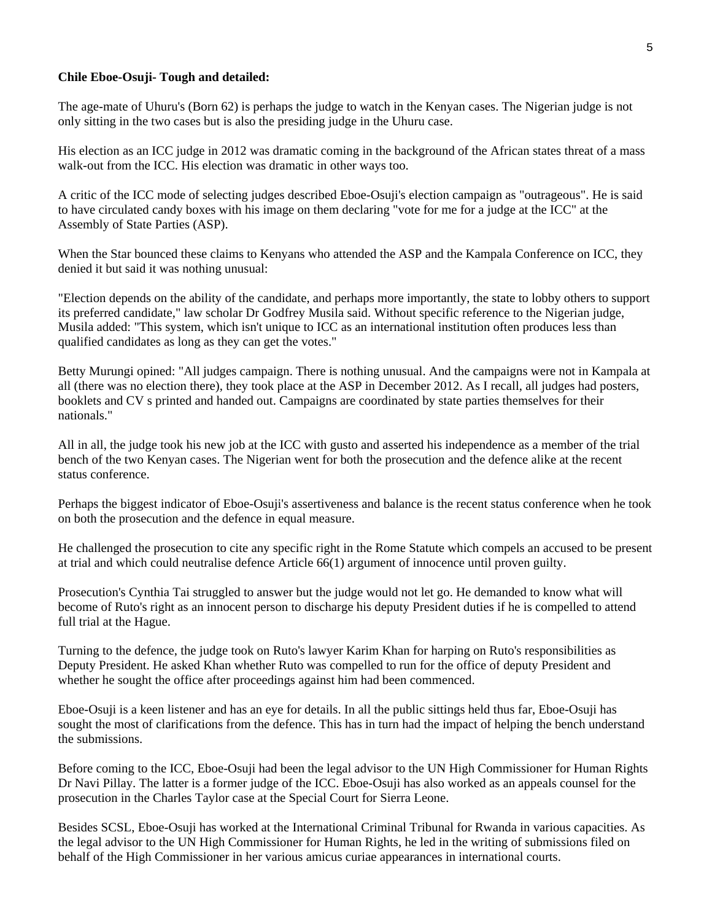#### **Chile Eboe-Osuji- Tough and detailed:**

The age-mate of Uhuru's (Born 62) is perhaps the judge to watch in the Kenyan cases. The Nigerian judge is not only sitting in the two cases but is also the presiding judge in the Uhuru case.

His election as an ICC judge in 2012 was dramatic coming in the background of the African states threat of a mass walk-out from the ICC. His election was dramatic in other ways too.

A critic of the ICC mode of selecting judges described Eboe-Osuji's election campaign as "outrageous". He is said to have circulated candy boxes with his image on them declaring "vote for me for a judge at the ICC" at the Assembly of State Parties (ASP).

When the Star bounced these claims to Kenyans who attended the ASP and the Kampala Conference on ICC, they denied it but said it was nothing unusual:

"Election depends on the ability of the candidate, and perhaps more importantly, the state to lobby others to support its preferred candidate," law scholar Dr Godfrey Musila said. Without specific reference to the Nigerian judge, Musila added: "This system, which isn't unique to ICC as an international institution often produces less than qualified candidates as long as they can get the votes."

Betty Murungi opined: "All judges campaign. There is nothing unusual. And the campaigns were not in Kampala at all (there was no election there), they took place at the ASP in December 2012. As I recall, all judges had posters, booklets and CV s printed and handed out. Campaigns are coordinated by state parties themselves for their nationals."

All in all, the judge took his new job at the ICC with gusto and asserted his independence as a member of the trial bench of the two Kenyan cases. The Nigerian went for both the prosecution and the defence alike at the recent status conference.

Perhaps the biggest indicator of Eboe-Osuji's assertiveness and balance is the recent status conference when he took on both the prosecution and the defence in equal measure.

He challenged the prosecution to cite any specific right in the Rome Statute which compels an accused to be present at trial and which could neutralise defence Article 66(1) argument of innocence until proven guilty.

Prosecution's Cynthia Tai struggled to answer but the judge would not let go. He demanded to know what will become of Ruto's right as an innocent person to discharge his deputy President duties if he is compelled to attend full trial at the Hague.

Turning to the defence, the judge took on Ruto's lawyer Karim Khan for harping on Ruto's responsibilities as Deputy President. He asked Khan whether Ruto was compelled to run for the office of deputy President and whether he sought the office after proceedings against him had been commenced.

Eboe-Osuji is a keen listener and has an eye for details. In all the public sittings held thus far, Eboe-Osuji has sought the most of clarifications from the defence. This has in turn had the impact of helping the bench understand the submissions.

Before coming to the ICC, Eboe-Osuji had been the legal advisor to the UN High Commissioner for Human Rights Dr Navi Pillay. The latter is a former judge of the ICC. Eboe-Osuji has also worked as an appeals counsel for the prosecution in the Charles Taylor case at the Special Court for Sierra Leone.

Besides SCSL, Eboe-Osuji has worked at the International Criminal Tribunal for Rwanda in various capacities. As the legal advisor to the UN High Commissioner for Human Rights, he led in the writing of submissions filed on behalf of the High Commissioner in her various amicus curiae appearances in international courts.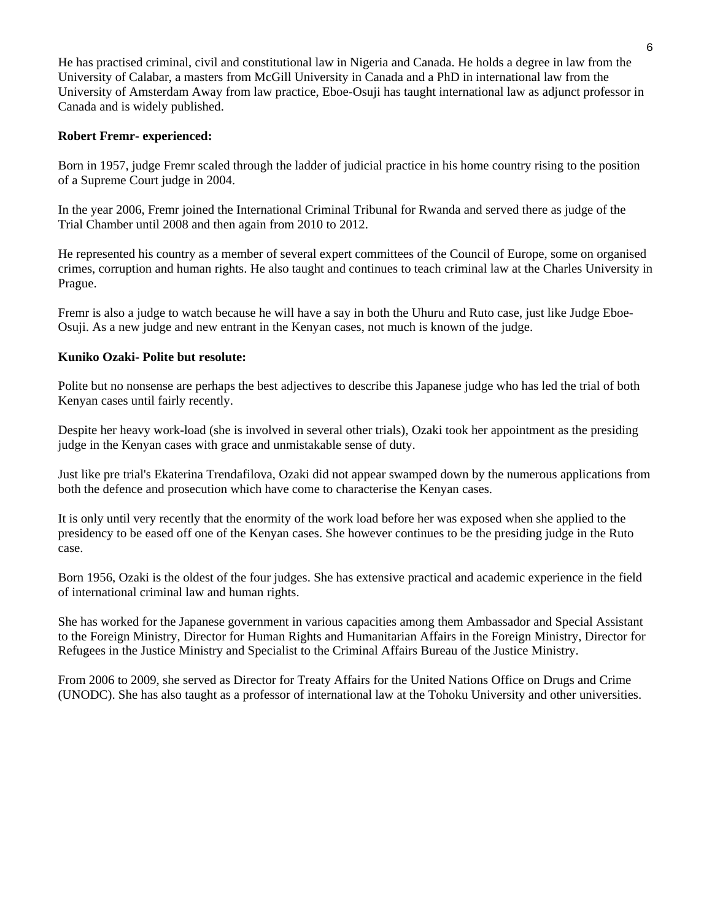He has practised criminal, civil and constitutional law in Nigeria and Canada. He holds a degree in law from the University of Calabar, a masters from McGill University in Canada and a PhD in international law from the University of Amsterdam Away from law practice, Eboe-Osuji has taught international law as adjunct professor in Canada and is widely published.

#### **Robert Fremr- experienced:**

Born in 1957, judge Fremr scaled through the ladder of judicial practice in his home country rising to the position of a Supreme Court judge in 2004.

In the year 2006, Fremr joined the International Criminal Tribunal for Rwanda and served there as judge of the Trial Chamber until 2008 and then again from 2010 to 2012.

He represented his country as a member of several expert committees of the Council of Europe, some on organised crimes, corruption and human rights. He also taught and continues to teach criminal law at the Charles University in Prague.

Fremr is also a judge to watch because he will have a say in both the Uhuru and Ruto case, just like Judge Eboe-Osuji. As a new judge and new entrant in the Kenyan cases, not much is known of the judge.

#### **Kuniko Ozaki- Polite but resolute:**

Polite but no nonsense are perhaps the best adjectives to describe this Japanese judge who has led the trial of both Kenyan cases until fairly recently.

Despite her heavy work-load (she is involved in several other trials), Ozaki took her appointment as the presiding judge in the Kenyan cases with grace and unmistakable sense of duty.

Just like pre trial's Ekaterina Trendafilova, Ozaki did not appear swamped down by the numerous applications from both the defence and prosecution which have come to characterise the Kenyan cases.

It is only until very recently that the enormity of the work load before her was exposed when she applied to the presidency to be eased off one of the Kenyan cases. She however continues to be the presiding judge in the Ruto case.

Born 1956, Ozaki is the oldest of the four judges. She has extensive practical and academic experience in the field of international criminal law and human rights.

She has worked for the Japanese government in various capacities among them Ambassador and Special Assistant to the Foreign Ministry, Director for Human Rights and Humanitarian Affairs in the Foreign Ministry, Director for Refugees in the Justice Ministry and Specialist to the Criminal Affairs Bureau of the Justice Ministry.

From 2006 to 2009, she served as Director for Treaty Affairs for the United Nations Office on Drugs and Crime (UNODC). She has also taught as a professor of international law at the Tohoku University and other universities.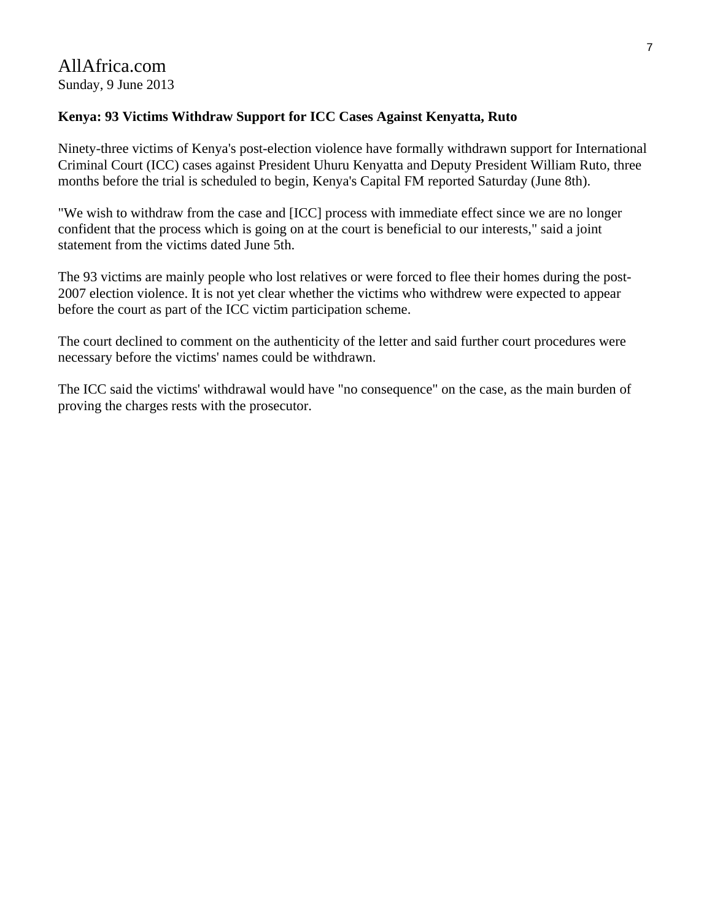## AllAfrica.com Sunday, 9 June 2013

### **Kenya: 93 Victims Withdraw Support for ICC Cases Against Kenyatta, Ruto**

Ninety-three victims of Kenya's post-election violence have formally withdrawn support for International Criminal Court (ICC) cases against President Uhuru Kenyatta and Deputy President William Ruto, three months before the trial is scheduled to begin, Kenya's Capital FM reported Saturday (June 8th).

"We wish to withdraw from the case and [ICC] process with immediate effect since we are no longer confident that the process which is going on at the court is beneficial to our interests," said a joint statement from the victims dated June 5th.

The 93 victims are mainly people who lost relatives or were forced to flee their homes during the post-2007 election violence. It is not yet clear whether the victims who withdrew were expected to appear before the court as part of the ICC victim participation scheme.

The court declined to comment on the authenticity of the letter and said further court procedures were necessary before the victims' names could be withdrawn.

The ICC said the victims' withdrawal would have "no consequence" on the case, as the main burden of proving the charges rests with the prosecutor.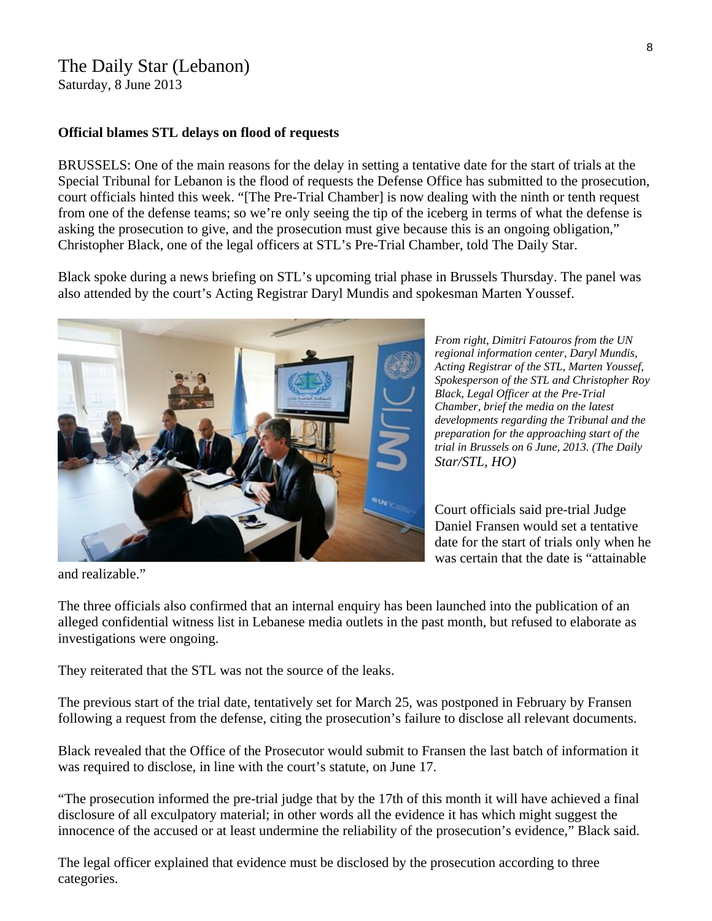# The Daily Star (Lebanon)

Saturday, 8 June 2013

#### **Official blames STL delays on flood of requests**

BRUSSELS: One of the main reasons for the delay in setting a tentative date for the start of trials at the Special Tribunal for Lebanon is the flood of requests the Defense Office has submitted to the prosecution, court officials hinted this week. "[The Pre-Trial Chamber] is now dealing with the ninth or tenth request from one of the defense teams; so we're only seeing the tip of the iceberg in terms of what the defense is asking the prosecution to give, and the prosecution must give because this is an ongoing obligation," Christopher Black, one of the legal officers at STL's Pre-Trial Chamber, told The Daily Star.

Black spoke during a news briefing on STL's upcoming trial phase in Brussels Thursday. The panel was also attended by the court's Acting Registrar Daryl Mundis and spokesman Marten Youssef.



Court officials said pre-trial Judge Daniel Fransen would set a tentative date for the start of trials only when he was certain that the date is "attainable

and realizable."

The three officials also confirmed that an internal enquiry has been launched into the publication of an alleged confidential witness list in Lebanese media outlets in the past month, but refused to elaborate as investigations were ongoing.

They reiterated that the STL was not the source of the leaks.

The previous start of the trial date, tentatively set for March 25, was postponed in February by Fransen following a request from the defense, citing the prosecution's failure to disclose all relevant documents.

Black revealed that the Office of the Prosecutor would submit to Fransen the last batch of information it was required to disclose, in line with the court's statute, on June 17.

"The prosecution informed the pre-trial judge that by the 17th of this month it will have achieved a final disclosure of all exculpatory material; in other words all the evidence it has which might suggest the innocence of the accused or at least undermine the reliability of the prosecution's evidence," Black said.

The legal officer explained that evidence must be disclosed by the prosecution according to three categories.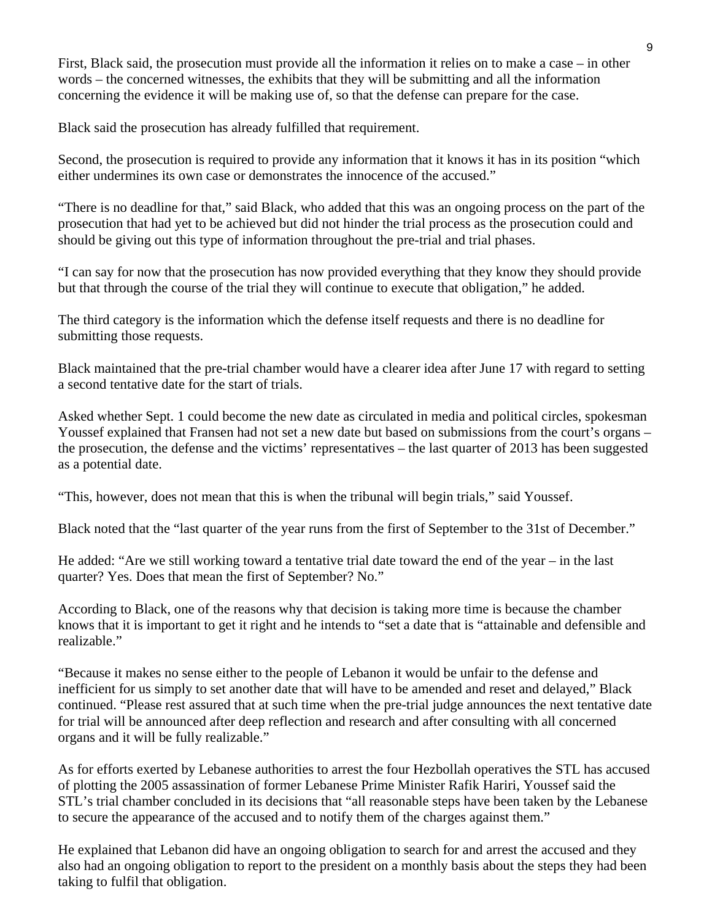First, Black said, the prosecution must provide all the information it relies on to make a case – in other words – the concerned witnesses, the exhibits that they will be submitting and all the information concerning the evidence it will be making use of, so that the defense can prepare for the case.

Black said the prosecution has already fulfilled that requirement.

Second, the prosecution is required to provide any information that it knows it has in its position "which either undermines its own case or demonstrates the innocence of the accused."

"There is no deadline for that," said Black, who added that this was an ongoing process on the part of the prosecution that had yet to be achieved but did not hinder the trial process as the prosecution could and should be giving out this type of information throughout the pre-trial and trial phases.

"I can say for now that the prosecution has now provided everything that they know they should provide but that through the course of the trial they will continue to execute that obligation," he added.

The third category is the information which the defense itself requests and there is no deadline for submitting those requests.

Black maintained that the pre-trial chamber would have a clearer idea after June 17 with regard to setting a second tentative date for the start of trials.

Asked whether Sept. 1 could become the new date as circulated in media and political circles, spokesman Youssef explained that Fransen had not set a new date but based on submissions from the court's organs – the prosecution, the defense and the victims' representatives – the last quarter of 2013 has been suggested as a potential date.

"This, however, does not mean that this is when the tribunal will begin trials," said Youssef.

Black noted that the "last quarter of the year runs from the first of September to the 31st of December."

He added: "Are we still working toward a tentative trial date toward the end of the year – in the last quarter? Yes. Does that mean the first of September? No."

According to Black, one of the reasons why that decision is taking more time is because the chamber knows that it is important to get it right and he intends to "set a date that is "attainable and defensible and realizable."

"Because it makes no sense either to the people of Lebanon it would be unfair to the defense and inefficient for us simply to set another date that will have to be amended and reset and delayed," Black continued. "Please rest assured that at such time when the pre-trial judge announces the next tentative date for trial will be announced after deep reflection and research and after consulting with all concerned organs and it will be fully realizable."

As for efforts exerted by Lebanese authorities to arrest the four Hezbollah operatives the STL has accused of plotting the 2005 assassination of former Lebanese Prime Minister Rafik Hariri, Youssef said the STL's trial chamber concluded in its decisions that "all reasonable steps have been taken by the Lebanese to secure the appearance of the accused and to notify them of the charges against them."

He explained that Lebanon did have an ongoing obligation to search for and arrest the accused and they also had an ongoing obligation to report to the president on a monthly basis about the steps they had been taking to fulfil that obligation.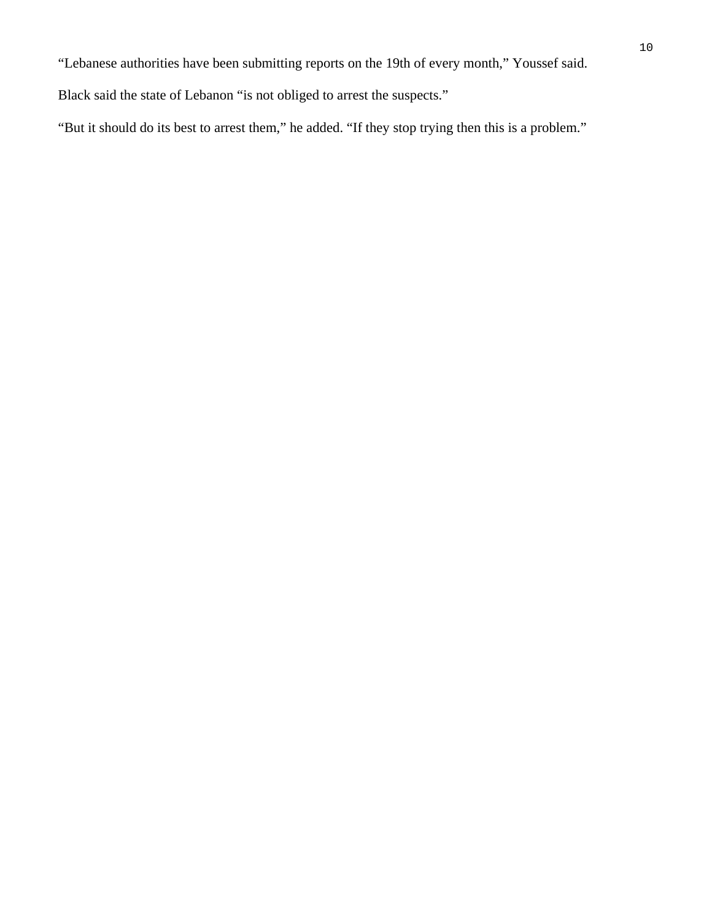"Lebanese authorities have been submitting reports on the 19th of every month," Youssef said.

Black said the state of Lebanon "is not obliged to arrest the suspects."

"But it should do its best to arrest them," he added. "If they stop trying then this is a problem."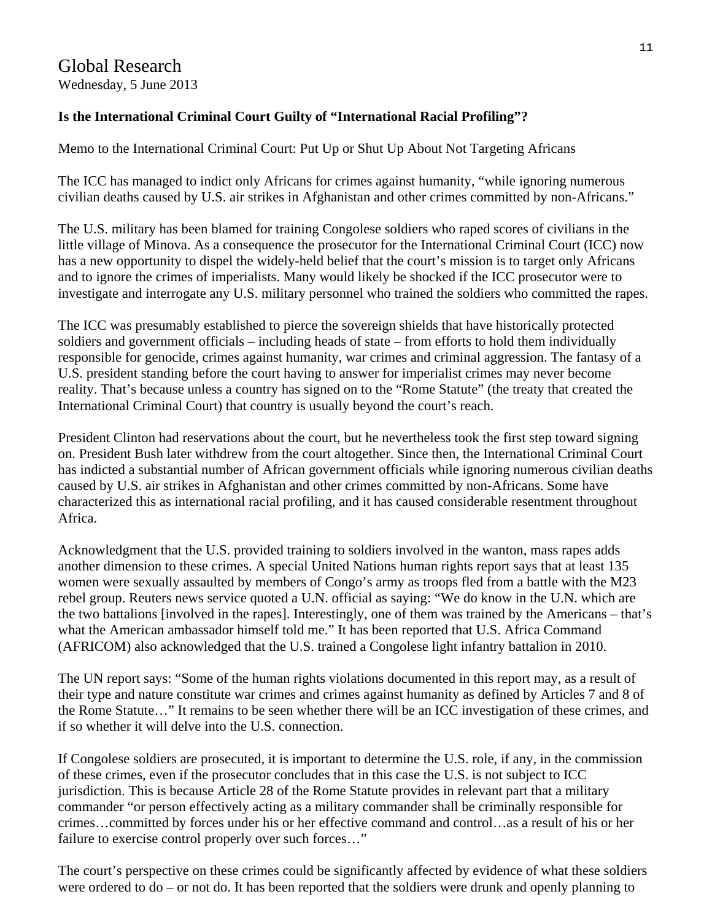## **Is the International Criminal Court Guilty of "International Racial Profiling"?**

Memo to the International Criminal Court: Put Up or Shut Up About Not Targeting Africans

The ICC has managed to indict only Africans for crimes against humanity, "while ignoring numerous civilian deaths caused by U.S. air strikes in Afghanistan and other crimes committed by non-Africans."

The U.S. military has been blamed for training Congolese soldiers who raped scores of civilians in the little village of Minova. As a consequence the prosecutor for the International Criminal Court (ICC) now has a new opportunity to dispel the widely-held belief that the court's mission is to target only Africans and to ignore the crimes of imperialists. Many would likely be shocked if the ICC prosecutor were to investigate and interrogate any U.S. military personnel who trained the soldiers who committed the rapes.

The ICC was presumably established to pierce the sovereign shields that have historically protected soldiers and government officials – including heads of state – from efforts to hold them individually responsible for genocide, crimes against humanity, war crimes and criminal aggression. The fantasy of a U.S. president standing before the court having to answer for imperialist crimes may never become reality. That's because unless a country has signed on to the "Rome Statute" (the treaty that created the International Criminal Court) that country is usually beyond the court's reach.

President Clinton had reservations about the court, but he nevertheless took the first step toward signing on. President Bush later withdrew from the court altogether. Since then, the International Criminal Court has indicted a substantial number of African government officials while ignoring numerous civilian deaths caused by U.S. air strikes in Afghanistan and other crimes committed by non-Africans. Some have characterized this as international racial profiling, and it has caused considerable resentment throughout Africa.

Acknowledgment that the U.S. provided training to soldiers involved in the wanton, mass rapes adds another dimension to these crimes. A special United Nations human rights report says that at least 135 women were sexually assaulted by members of Congo's army as troops fled from a battle with the M23 rebel group. Reuters news service quoted a U.N. official as saying: "We do know in the U.N. which are the two battalions [involved in the rapes]. Interestingly, one of them was trained by the Americans – that's what the American ambassador himself told me." It has been reported that U.S. Africa Command (AFRICOM) also acknowledged that the U.S. trained a Congolese light infantry battalion in 2010.

The UN report says: "Some of the human rights violations documented in this report may, as a result of their type and nature constitute war crimes and crimes against humanity as defined by Articles 7 and 8 of the Rome Statute…" It remains to be seen whether there will be an ICC investigation of these crimes, and if so whether it will delve into the U.S. connection.

If Congolese soldiers are prosecuted, it is important to determine the U.S. role, if any, in the commission of these crimes, even if the prosecutor concludes that in this case the U.S. is not subject to ICC jurisdiction. This is because Article 28 of the Rome Statute provides in relevant part that a military commander "or person effectively acting as a military commander shall be criminally responsible for crimes…committed by forces under his or her effective command and control…as a result of his or her failure to exercise control properly over such forces…"

The court's perspective on these crimes could be significantly affected by evidence of what these soldiers were ordered to do – or not do. It has been reported that the soldiers were drunk and openly planning to